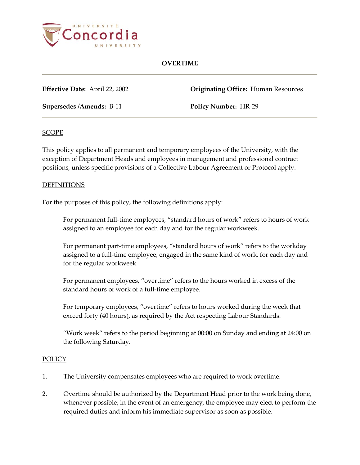

### **OVERTIME**

**Supersedes /Amends:** B-11 **Policy Number:** HR-29

**Effective Date:** April 22, 2002 **Originating Office:** Human Resources

#### **SCOPE**

This policy applies to all permanent and temporary employees of the University, with the exception of Department Heads and employees in management and professional contract positions, unless specific provisions of a Collective Labour Agreement or Protocol apply.

#### DEFINITIONS

For the purposes of this policy, the following definitions apply:

For permanent full-time employees, "standard hours of work" refers to hours of work assigned to an employee for each day and for the regular workweek.

For permanent part-time employees, "standard hours of work" refers to the workday assigned to a full-time employee, engaged in the same kind of work, for each day and for the regular workweek.

For permanent employees, "overtime" refers to the hours worked in excess of the standard hours of work of a full-time employee.

For temporary employees, "overtime" refers to hours worked during the week that exceed forty (40 hours), as required by the Act respecting Labour Standards.

"Work week" refers to the period beginning at 00:00 on Sunday and ending at 24:00 on the following Saturday.

#### **POLICY**

- 1. The University compensates employees who are required to work overtime.
- 2. Overtime should be authorized by the Department Head prior to the work being done, whenever possible; in the event of an emergency, the employee may elect to perform the required duties and inform his immediate supervisor as soon as possible.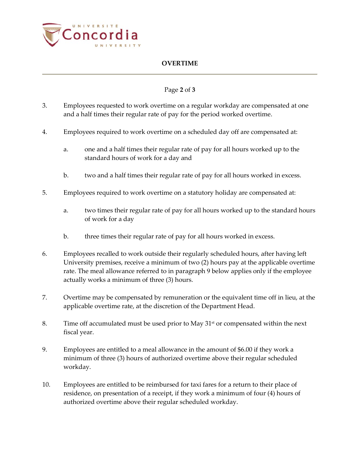

## **OVERTIME**

## Page **2** of **3**

- 3. Employees requested to work overtime on a regular workday are compensated at one and a half times their regular rate of pay for the period worked overtime.
- 4. Employees required to work overtime on a scheduled day off are compensated at:
	- a. one and a half times their regular rate of pay for all hours worked up to the standard hours of work for a day and
	- b. two and a half times their regular rate of pay for all hours worked in excess.
- 5. Employees required to work overtime on a statutory holiday are compensated at:
	- a. two times their regular rate of pay for all hours worked up to the standard hours of work for a day
	- b. three times their regular rate of pay for all hours worked in excess.
- 6. Employees recalled to work outside their regularly scheduled hours, after having left University premises, receive a minimum of two (2) hours pay at the applicable overtime rate. The meal allowance referred to in paragraph 9 below applies only if the employee actually works a minimum of three (3) hours.
- 7. Overtime may be compensated by remuneration or the equivalent time off in lieu, at the applicable overtime rate, at the discretion of the Department Head.
- 8. Time off accumulated must be used prior to May  $31<sup>st</sup>$  or compensated within the next fiscal year.
- 9. Employees are entitled to a meal allowance in the amount of \$6.00 if they work a minimum of three (3) hours of authorized overtime above their regular scheduled workday.
- 10. Employees are entitled to be reimbursed for taxi fares for a return to their place of residence, on presentation of a receipt, if they work a minimum of four (4) hours of authorized overtime above their regular scheduled workday.